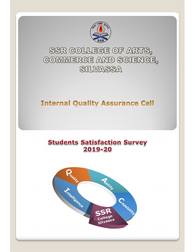

SSR COLLEGE OF ARTS, COMMERCE AND SCIENCE, SILVASSA

# **Internal Quality Assurance Cell**

# **Students Satisfaction Survey** 2019-20

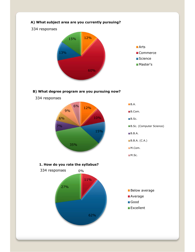

## B) What degree program are you pursuing now?

334 responses



**B.A.** 

**B.Com.** 

- **B.Sc.** (Computer Science)
- B.B.A.

B.B.A. (C.A.)

- M.Com.
- **M.Sc.**

#### 1. How do you rate the syllabus?

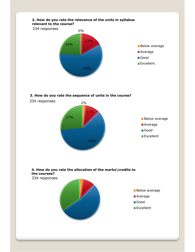

### 3. How do you rate the sequence of units in the course?



**Good Excellent**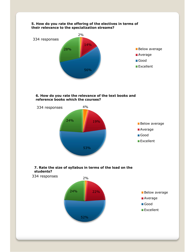

#### 6. How do you rate the relevance of the text books and reference books which the courses?



#### 7. Rate the size of syllabus in terms of the load on the students?

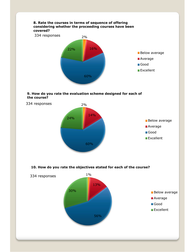